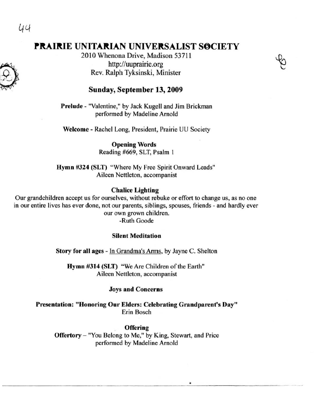44

# **PRAIRIE UNITARIAN UNIVERSALIST SOCIETY**

2010 Whenona Drive, Madison 53711 http://uuprairie.org Rev. Ralph Tyksinski, Minister



Prelude - "Valentine," by Jack Kugell and Jim Brickman performed by Madeline Arnold

Welcome - Rachel Long, President, Prairie UU Society

Opening Words Reading #669, SLT, Psalm I

Hymn #324 (SLT) "Where My Free Spirit Onward Leads" **Aileen Nettleton, accompanist** 

#### Chalice Lighting

**OUf grandchildren accept us for ourselves, without rebuke or effort to change us, as no one in our entire lives has ever done, not our parents, siblings, spouses, friends - and hardly ever our own grown children.**  -Ruth Goode

#### Silent Meditation

Story for all ages - In Grandma's Arms, by Jayne C. Shelton

Hymn #314 (SLT) "We Are Children of the Earth" **Aileen Nettleton, accompanist** 

#### Joys and Concerns

**Presentation: "Honoring Our Elders: Celebrating Grandparent's Day"**  Erin Bosch

. Offering Offertory - "You Belong to Me," by King, Stewart, and Price performed by Madeline Arnold

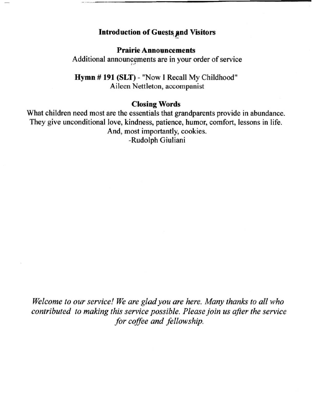# Introduction of Guests and Visitors

**Prairie Announcements** Additional announcements are in your order of service

Hymn # 191 (SLT) - "Now I Recall My Childhood" Aileen Nettleton, accompanist

## Closing Words

What children need most are the essentials that grandparents provide in abundance. They give unconditional love, kindness, patience, humor, comfort, lessons in life. And, most importantly, cookies. -Rudolph Giuliani

*Welcome to our service! We are glad you are here. Many thanks to all who contributed to making this service possible. Please join us after the service for coffee and fellowship.*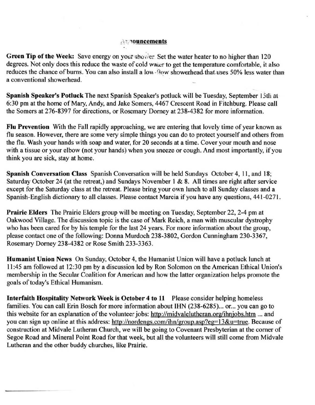#### $\wedge$ **: '10uncements**

Green Tip of the Week: Save energy on your shower. Set the water heater to no higher than 120 degrees. Not only does this reduce the waste of cold water to get the temperature comfortable, it also reduces the chance of burns. You can also install a low flow showerhead that uses 50% less water than **a conventional showerhead.** 

Spanish Speaker's Potluck The next Spanish Speaker's potluck will be Tuesday, September 15th at 6:30 pm at the home of Mary, Andy, and lake Somers, 4467 Crescent Road in Fitchburg. Please call the Somers at 276-8397 for directions, or Rosemary Dorney at 238-4382 for more information.

Flu Prevention With the Fall rapidly approaching, we are entering that lovely time of year known as flu season. However, there are some very simple things you can do to protect yourself and others from the flu. Wash your hands with soap and water, for 20 seconds at a time. Cover your mouth and nose with a tissue or your elbow (not your hands) when you sneeze or cough. And most importantly, if you think you are sick, stay at home.

Spanish Conversation Class Spanish Conversation will be held Sundays October 4, II, and 18; Saturday October 24 (at the retreat,) and Sundays November 1 & 8. All times are right after service except for the Saturday class at the retreat. Please bring your own lunch to all Sunday classes and a Spanish-English dictionary to all classes. Please contact Marcia if you have any questions, 441-0271.

Prairie Elders The Prairie Elders group will be meeting on Tuesday, September 22, 2-4 pm at Oakwood Village. The discussion topic is the case of Mark Reich, a man with muscular dystrophy who has been cared for by his temple for the last 24 years. For more information about the group, please contact one of the following: Donna Murdoch 238-3802, Gordon Cunningham 230-3367, Rosemary Dorney 238-4382 or Rose Smith 233-3363.

Humanist Union News On Sunday, October 4, the Humanist Union will have a potluck lunch at 11:45 am followed at 12:30 pm by a discussion led by Ron Solomon on the American Ethical Union's membership in the Secular Coalition for American and how the latter organization helps promote the goals of today's Ethical Humanism.

Interfaith Hospitality Network Week is October 4 to 11 Please consider helping homeless families. You can call Erin Bosch for more information about IHN (238-6285)... or... you can go to this website for an explanation of the volunteer jobs: http://midvalelutheran.org/ihnjobs.htm ... and you can sign up online at this address: http://nordengs.com/ihn/group.asp?eg=13&u=true. Because of construction at Midvale Lutheran Church, we will be going to Covenant Presbyterian at the corner of Segoe Road and Mineral Point Road for that week, but all the volunteers will still come from Midvale Lutheran and the other buddy churches, like Prairie.